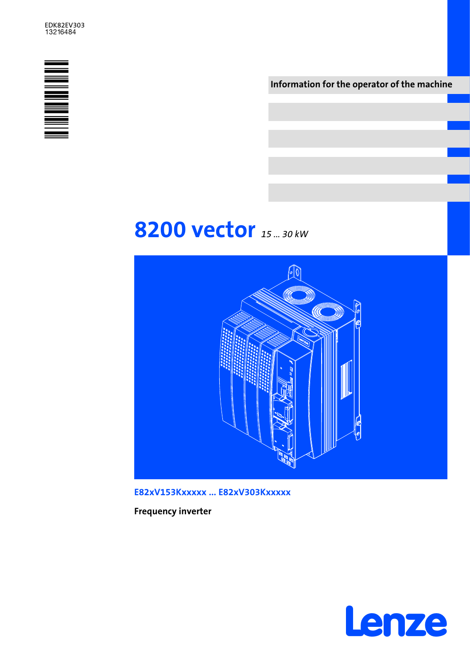

Information for the operator of the machine

# 8200 vector 15 ... 30 kw



E82xV153Kxxxxx ... E82xV303Kxxxxx

Frequency inverter

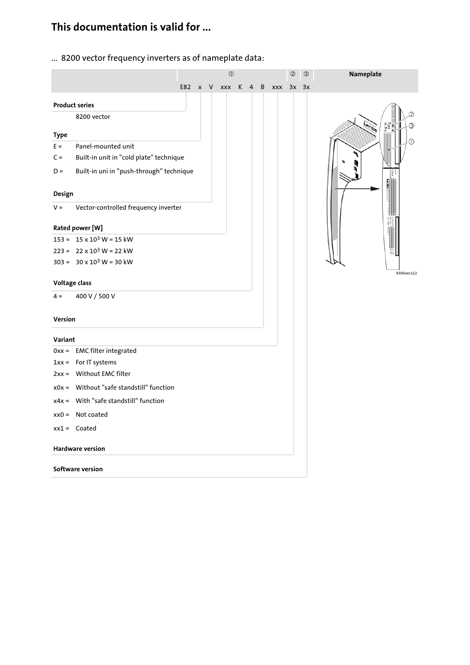## This documentation is valid for ...

... 8200 vector frequency inverters as of nameplate data:

|               |                                          |                 |  | $\circled{0}$ |   |           | $\circledS$ | $\circledS$ | Nameplate  |
|---------------|------------------------------------------|-----------------|--|---------------|---|-----------|-------------|-------------|------------|
|               |                                          | E82 x V xxx K 4 |  |               | B | xxx 3x 3x |             |             |            |
|               | <b>Product series</b>                    |                 |  |               |   |           |             |             |            |
|               | 8200 vector                              |                 |  |               |   |           |             |             |            |
| <b>Type</b>   |                                          |                 |  |               |   |           |             |             |            |
| $E =$         | Panel-mounted unit                       |                 |  |               |   |           |             |             |            |
| $C =$         | Built-in unit in "cold plate" technique  |                 |  |               |   |           |             |             |            |
| $D =$         | Built-in uni in "push-through" technique |                 |  |               |   |           |             |             |            |
| Design        |                                          |                 |  |               |   |           |             |             |            |
| $V =$         | Vector-controlled frequency inverter     |                 |  |               |   |           |             |             |            |
|               | Rated power [W]                          |                 |  |               |   |           |             |             |            |
|               | $153 = 15 \times 10^3$ W = 15 kW         |                 |  |               |   |           |             |             |            |
|               | $223 = 22 \times 10^3$ W = 22 kW         |                 |  |               |   |           |             |             |            |
|               | $303 = 30 \times 10^3$ W = 30 kW         |                 |  |               |   |           |             |             |            |
| Voltage class |                                          |                 |  |               |   |           |             |             | 9300vec112 |
| $4 =$         | 400 V / 500 V                            |                 |  |               |   |           |             |             |            |
| Version       |                                          |                 |  |               |   |           |             |             |            |
| Variant       |                                          |                 |  |               |   |           |             |             |            |
|               | 0xx = EMC filter integrated              |                 |  |               |   |           |             |             |            |
|               | $1xx =$ For IT systems                   |                 |  |               |   |           |             |             |            |
|               | 2xx = Without EMC filter                 |                 |  |               |   |           |             |             |            |
|               | x0x = Without "safe standstill" function |                 |  |               |   |           |             |             |            |
|               | $x4x =$ With "safe standstill" function  |                 |  |               |   |           |             |             |            |
|               | $xx0 =$ Not coated                       |                 |  |               |   |           |             |             |            |
|               | $xx1 =$ Coated                           |                 |  |               |   |           |             |             |            |
|               | <b>Hardware version</b>                  |                 |  |               |   |           |             |             |            |
|               | Software version                         |                 |  |               |   |           |             |             |            |
|               |                                          |                 |  |               |   |           |             |             |            |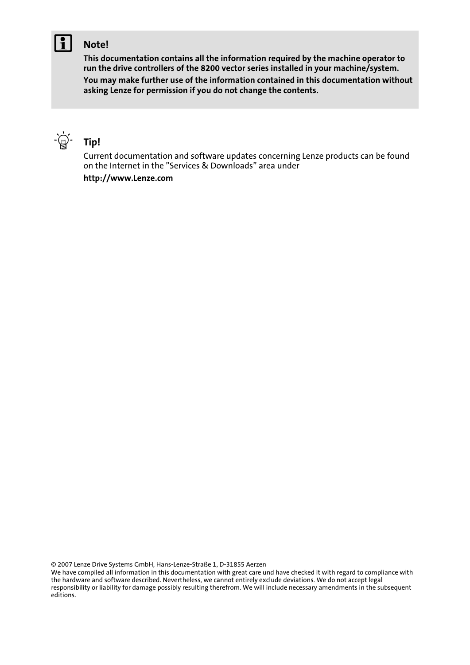### Note!

This documentation contains all the information required by the machine operator to run the drive controllers of the 8200 vector series installed in your machine/system.

You may make further use of the information contained in this documentation without asking Lenze for permission if you do not change the contents.



Current documentation and software updates concerning Lenze products can be found on the Internet in the "Services & Downloads" area under http://www.Lenze.com

© 2007 Lenze Drive Systems GmbH, Hans−Lenze−Straße 1, D−31855 Aerzen

We have compiled all information in this documentation with great care und have checked it with regard to compliance with the hardware and software described. Nevertheless, we cannot entirely exclude deviations. We do not accept legal responsibility or liability for damage possibly resulting therefrom. We will include necessary amendments in the subsequent editions.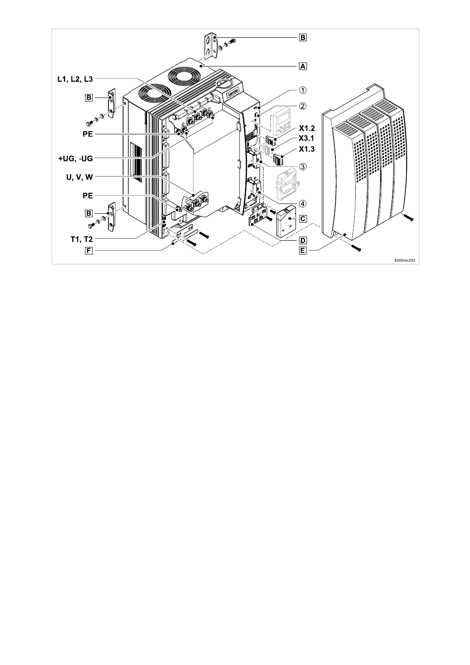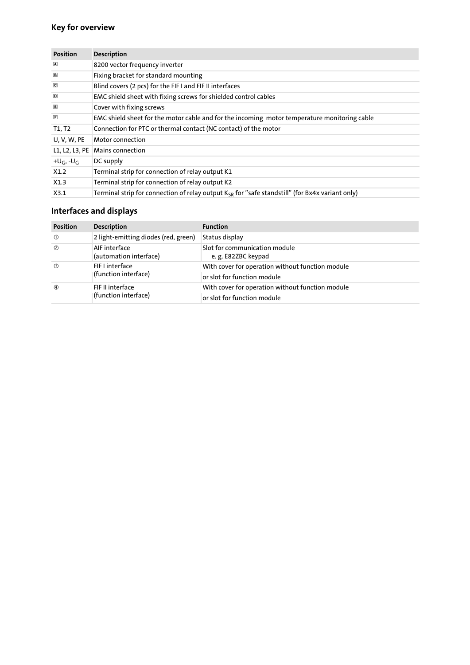### Key for overview

| <b>Position</b>                   | <b>Description</b>                                                                                          |
|-----------------------------------|-------------------------------------------------------------------------------------------------------------|
| $\overline{A}$                    | 8200 vector frequency inverter                                                                              |
| $\Box$                            | Fixing bracket for standard mounting                                                                        |
| $\overline{\mathbf{C}}$           | Blind covers (2 pcs) for the FIF I and FIF II interfaces                                                    |
| $\Box$                            | EMC shield sheet with fixing screws for shielded control cables                                             |
| E                                 | Cover with fixing screws                                                                                    |
| $\sqrt{F}$                        | EMC shield sheet for the motor cable and for the incoming motor temperature monitoring cable                |
| T <sub>1</sub> , T <sub>2</sub>   | Connection for PTC or thermal contact (NC contact) of the motor                                             |
| <b>U. V. W. PE</b>                | Motor connection                                                                                            |
| L1, L2, L3, PE                    | Mains connection                                                                                            |
| +U <sub>G</sub> , -U <sub>G</sub> | DC supply                                                                                                   |
| X1.2                              | Terminal strip for connection of relay output K1                                                            |
| X1.3                              | Terminal strip for connection of relay output K2                                                            |
| X3.1                              | Terminal strip for connection of relay output K <sub>SR</sub> for "safe standstill" (for Bx4x variant only) |

### Interfaces and displays

| <b>Position</b> | <b>Description</b>                       | <b>Function</b>                                                                 |
|-----------------|------------------------------------------|---------------------------------------------------------------------------------|
| $\circled{0}$   | 2 light-emitting diodes (red, green)     | Status display                                                                  |
| $\circled{2}$   | AIF interface<br>(automation interface)  | Slot for communication module<br>e.g. E82ZBC keypad                             |
| $\circled{3}$   | FIF I interface<br>(function interface)  | With cover for operation without function module<br>or slot for function module |
| $\circled{4}$   | FIF II interface<br>(function interface) | With cover for operation without function module<br>or slot for function module |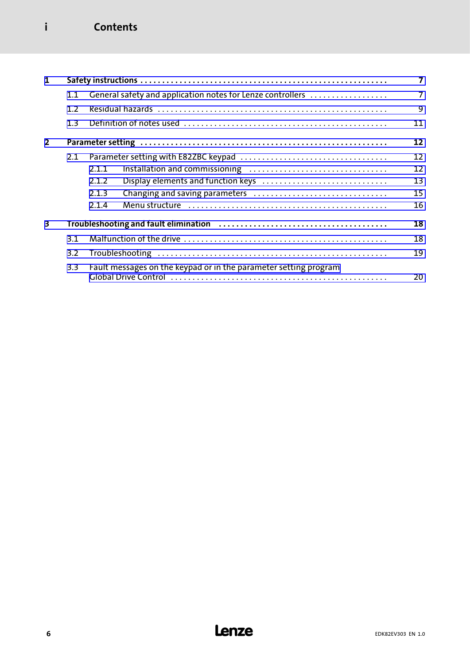### i Contents

| 1                       |     |                                                                  |                |  |  |  |
|-------------------------|-----|------------------------------------------------------------------|----------------|--|--|--|
|                         | 1.1 | General safety and application notes for Lenze controllers       | $\overline{7}$ |  |  |  |
|                         | 1.2 |                                                                  | 9              |  |  |  |
|                         | 1.3 |                                                                  | 11             |  |  |  |
| $\overline{2}$          |     |                                                                  | 12             |  |  |  |
|                         | 2.1 |                                                                  | 12             |  |  |  |
|                         |     | 2.1.1                                                            | 12             |  |  |  |
|                         |     | Display elements and function keys<br>2.1.2                      | 13             |  |  |  |
|                         |     | 2.1.3                                                            | 15             |  |  |  |
|                         |     | 2.1.4                                                            | 16             |  |  |  |
| $\overline{\mathbf{3}}$ |     |                                                                  | 18             |  |  |  |
|                         | 3.1 |                                                                  | 18             |  |  |  |
|                         | 3.2 |                                                                  | 19             |  |  |  |
|                         | 3.3 | Fault messages on the keypad or in the parameter setting program | 20             |  |  |  |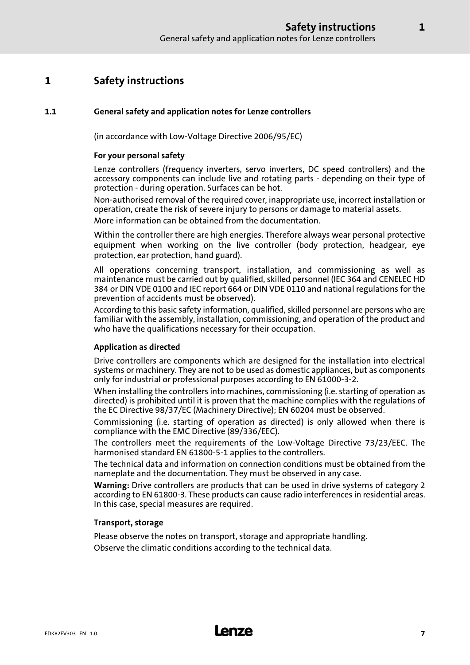### <span id="page-6-0"></span>1 Safety instructions

#### 1.1 General safety and application notes for Lenze controllers

(in accordance with Low−Voltage Directive 2006/95/EC)

#### For your personal safety

Lenze controllers (frequency inverters, servo inverters, DC speed controllers) and the accessory components can include live and rotating parts − depending on their type of protection − during operation. Surfaces can be hot.

Non−authorised removal of the required cover, inappropriate use, incorrect installation or operation, create the risk of severe injury to persons or damage to material assets.

More information can be obtained from the documentation.

Within the controller there are high energies. Therefore always wear personal protective equipment when working on the live controller (body protection, headgear, eye protection, ear protection, hand guard).

All operations concerning transport, installation, and commissioning as well as maintenance must be carried out by qualified, skilled personnel (IEC 364 and CENELEC HD 384 or DIN VDE 0100 and IEC report 664 or DIN VDE 0110 and national regulations for the prevention of accidents must be observed).

According to this basic safety information, qualified, skilled personnel are persons who are familiar with the assembly, installation, commissioning, and operation of the product and who have the qualifications necessary for their occupation.

#### Application as directed

Drive controllers are components which are designed for the installation into electrical systems or machinery. They are not to be used as domestic appliances, but as components only for industrial or professional purposes according to EN 61000−3−2.

When installing the controllers into machines, commissioning (i.e. starting of operation as directed) is prohibited until it is proven that the machine complies with the regulations of the EC Directive 98/37/EC (Machinery Directive); EN 60204 must be observed.

Commissioning (i.e. starting of operation as directed) is only allowed when there is compliance with the EMC Directive (89/336/EEC).

The controllers meet the requirements of the Low−Voltage Directive 73/23/EEC. The harmonised standard EN 61800−5−1 applies to the controllers.

The technical data and information on connection conditions must be obtained from the nameplate and the documentation. They must be observed in any case.

Warning: Drive controllers are products that can be used in drive systems of category 2 according to EN 61800−3. These products can cause radio interferences in residential areas. In this case, special measures are required.

#### Transport, storage

Please observe the notes on transport, storage and appropriate handling. Observe the climatic conditions according to the technical data.

1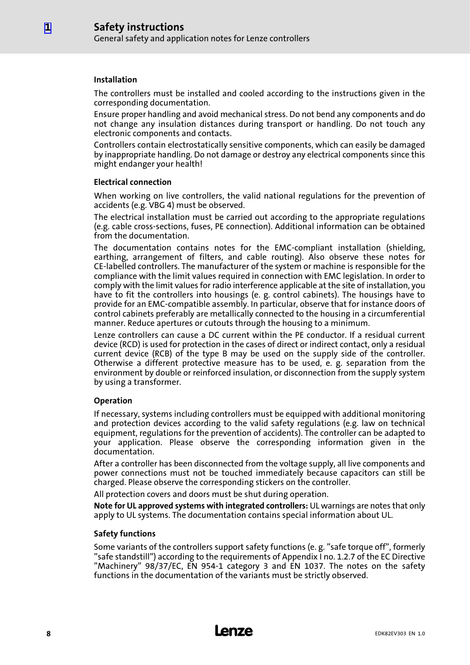#### Installation

The controllers must be installed and cooled according to the instructions given in the corresponding documentation.

Ensure proper handling and avoid mechanical stress. Do not bend any components and do not change any insulation distances during transport or handling. Do not touch any electronic components and contacts.

Controllers contain electrostatically sensitive components, which can easily be damaged by inappropriate handling. Do not damage or destroy any electrical components since this might endanger your health!

#### Electrical connection

When working on live controllers, the valid national regulations for the prevention of accidents (e.g. VBG 4) must be observed.

The electrical installation must be carried out according to the appropriate regulations (e.g. cable cross−sections, fuses, PE connection). Additional information can be obtained from the documentation.

The documentation contains notes for the EMC−compliant installation (shielding, earthing, arrangement of filters, and cable routing). Also observe these notes for CE−labelled controllers. The manufacturer of the system or machine is responsible for the compliance with the limit values required in connection with EMC legislation. In order to comply with the limit values for radio interference applicable at the site of installation, you have to fit the controllers into housings (e. g. control cabinets). The housings have to provide for an EMC−compatible assembly. In particular, observe that for instance doors of control cabinets preferably are metallically connected to the housing in a circumferential manner. Reduce apertures or cutouts through the housing to a minimum.

Lenze controllers can cause a DC current within the PE conductor. If a residual current device (RCD) is used for protection in the cases of direct or indirect contact, only a residual current device (RCB) of the type B may be used on the supply side of the controller. Otherwise a different protective measure has to be used, e. g. separation from the environment by double or reinforced insulation, or disconnection from the supply system by using a transformer.

#### Operation

If necessary, systems including controllers must be equipped with additional monitoring and protection devices according to the valid safety regulations (e.g. law on technical equipment, regulations for the prevention of accidents). The controller can be adapted to your application. Please observe the corresponding information given in the documentation.

After a controller has been disconnected from the voltage supply, all live components and power connections must not be touched immediately because capacitors can still be charged. Please observe the corresponding stickers on the controller.

All protection covers and doors must be shut during operation.

Note for UL approved systems with integrated controllers: UL warnings are notes that only apply to UL systems. The documentation contains special information about UL.

#### Safety functions

Some variants of the controllers support safety functions (e. g. "safe torque off", formerly "safe standstill") according to the requirements of Appendix I no. 1.2.7 of the EC Directive "Machinery" 98/37/EC, EN 954−1 category 3 and EN 1037. The notes on the safety functions in the documentation of the variants must be strictly observed.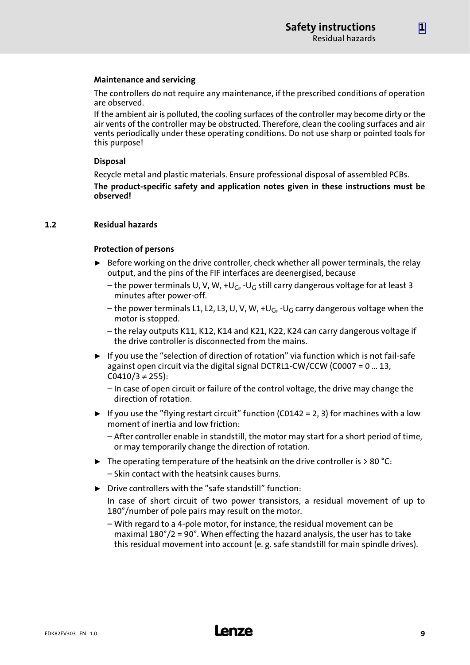[1](#page-6-0)

#### <span id="page-8-0"></span>Maintenance and servicing

The controllers do not require any maintenance, if the prescribed conditions of operation are observed.

If the ambient air is polluted, the cooling surfaces of the controller may become dirty or the air vents of the controller may be obstructed. Therefore, clean the cooling surfaces and air vents periodically under these operating conditions. Do not use sharp or pointed tools for this purpose!

#### Disposal

Recycle metal and plastic materials. Ensure professional disposal of assembled PCBs. The product−specific safety and application notes given in these instructions must be observed!

#### 1.2 Residual hazards

#### Protection of persons

- $\triangleright$  Before working on the drive controller, check whether all power terminals, the relay output, and the pins of the FIF interfaces are deenergised, because
	- the power terminals U, V, W, +U<sub>G</sub>, -U<sub>G</sub> still carry dangerous voltage for at least 3 minutes after power−off.
	- the power terminals L1, L2, L3, U, V, W, +UG, −UG carry dangerous voltage when the motor is stopped.

– the relay outputs K11, K12, K14 and K21, K22, K24 can carry dangerous voltage if the drive controller is disconnected from the mains.

► If you use the "selection of direction of rotation" via function which is not fail-safe against open circuit via the digital signal DCTRL1−CW/CCW (C0007 = 0 ... 13,  $CO410/3 \neq 255$ ):

– In case of open circuit or failure of the control voltage, the drive may change the direction of rotation.

- $\blacktriangleright$  If you use the "flying restart circuit" function (C0142 = 2, 3) for machines with a low moment of inertia and low friction:
	- After controller enable in standstill, the motor may start for a short period of time, or may temporarily change the direction of rotation.
- $\blacktriangleright$  The operating temperature of the heatsink on the drive controller is > 80 °C: – Skin contact with the heatsink causes burns.
- $\triangleright$  Drive controllers with the "safe standstill" function: In case of short circuit of two power transistors, a residual movement of up to 180°/number of pole pairs may result on the motor.
	- With regard to a 4−pole motor, for instance, the residual movement can be maximal  $180^{\circ}/2 = 90^{\circ}$ . When effecting the hazard analysis, the user has to take this residual movement into account (e. g. safe standstill for main spindle drives).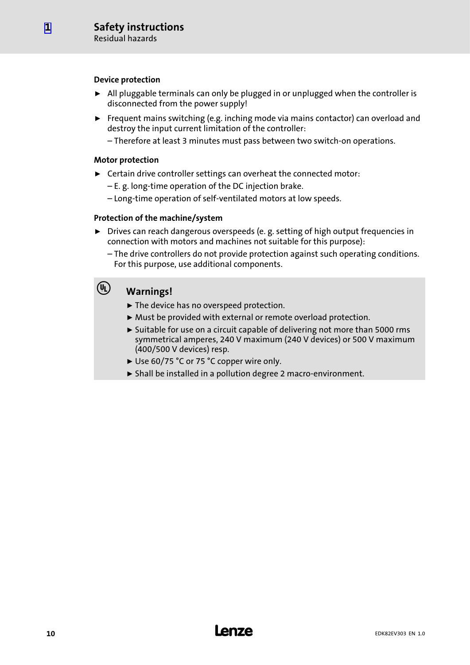#### Device protection

- ► All pluggable terminals can only be plugged in or unplugged when the controller is disconnected from the power supply!
- $\blacktriangleright$  Frequent mains switching (e.g. inching mode via mains contactor) can overload and destroy the input current limitation of the controller:
	- Therefore at least 3 minutes must pass between two switch−on operations.

#### Motor protection

- $\blacktriangleright$  Certain drive controller settings can overheat the connected motor:
	- E. g. long−time operation of the DC injection brake.
	- Long−time operation of self−ventilated motors at low speeds.

#### Protection of the machine/system

- ▶ Drives can reach dangerous overspeeds (e. g. setting of high output frequencies in connection with motors and machines not suitable for this purpose):
	- The drive controllers do not provide protection against such operating conditions. For this purpose, use additional components.

### (U) Warnings!

- $\blacktriangleright$  The device has no overspeed protection.
- ▶ Must be provided with external or remote overload protection.
- $\triangleright$  Suitable for use on a circuit capable of delivering not more than 5000 rms symmetrical amperes, 240 V maximum (240 V devices) or 500 V maximum (400/500 V devices) resp.
- ► Use 60/75 °C or 75 °C copper wire only.
- ƒ Shall be installed in a pollution degree 2 macro−environment.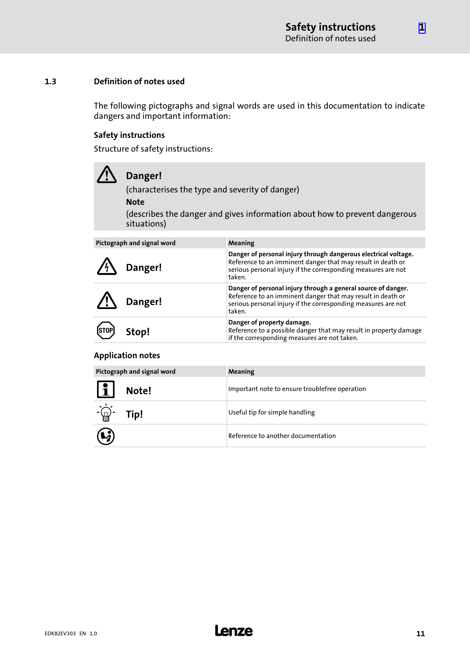#### <span id="page-10-0"></span>1.3 Definition of notes used

The following pictographs and signal words are used in this documentation to indicate dangers and important information:

#### Safety instructions

Structure of safety instructions:

| Danger!<br>(characterises the type and severity of danger)<br><b>Note</b><br>(describes the danger and gives information about how to prevent dangerous<br>situations) |                                                                                                                                                                                                           |  |  |  |  |
|------------------------------------------------------------------------------------------------------------------------------------------------------------------------|-----------------------------------------------------------------------------------------------------------------------------------------------------------------------------------------------------------|--|--|--|--|
| Pictograph and signal word                                                                                                                                             | <b>Meaning</b>                                                                                                                                                                                            |  |  |  |  |
| Danger!                                                                                                                                                                | Danger of personal injury through dangerous electrical voltage.<br>Reference to an imminent danger that may result in death or<br>serious personal injury if the corresponding measures are not<br>taken. |  |  |  |  |
| Danger!                                                                                                                                                                | Danger of personal injury through a general source of danger.<br>Reference to an imminent danger that may result in death or<br>serious personal injury if the corresponding measures are not<br>taken.   |  |  |  |  |
| top!                                                                                                                                                                   | Danger of property damage.<br>Reference to a possible danger that may result in property damage<br>if the corresponding measures are not taken.                                                           |  |  |  |  |

#### Application notes

| Pictograph and signal word |       | Meaning                                        |
|----------------------------|-------|------------------------------------------------|
| <u>L</u>                   | Note! | Important note to ensure troublefree operation |
|                            | Tip!  | Useful tip for simple handling                 |
| $\bf G$                    |       | Reference to another documentation             |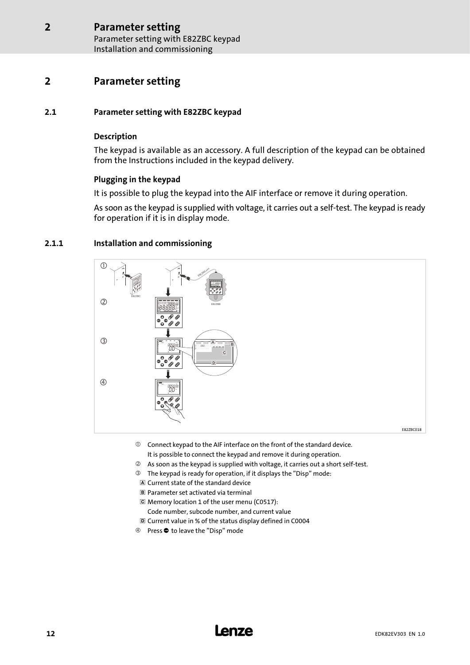### <span id="page-11-0"></span>2 Parameter setting

#### 2.1 Parameter setting with E82ZBC keypad

#### Description

The keypad is available as an accessory. A full description of the keypad can be obtained from the Instructions included in the keypad delivery.

#### Plugging in the keypad

It is possible to plug the keypad into the AIF interface or remove it during operation.

As soon as the keypad is supplied with voltage, it carries out a self−test. The keypad is ready for operation if it is in display mode.

#### 2.1.1 Installation and commissioning



- $\odot$  Connect keypad to the AIF interface on the front of the standard device. It is possible to connect the keypad and remove it during operation.
- As soon as the keypad is supplied with voltage, it carries out a short self−test.
- The keypad is ready for operation, if it displays the "Disp" mode:
- Current state of the standard device
- Parameter set activated via terminal
- Memory location 1 of the user menu (C0517):
	- Code number, subcode number, and current value
- Current value in % of the status display defined in C0004
- 4 Press  $\bullet$  to leave the "Disp" mode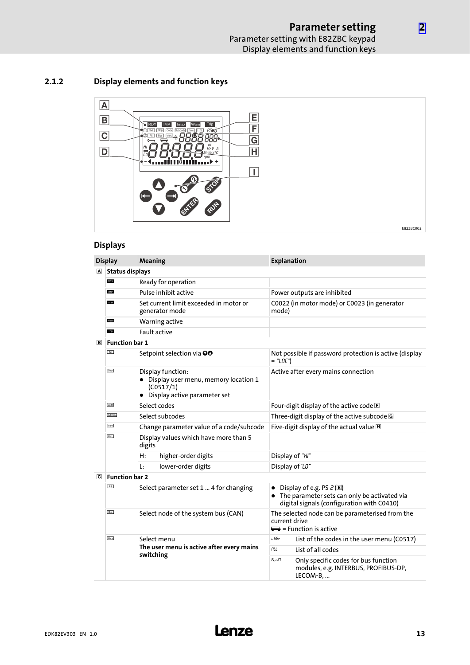### <span id="page-12-0"></span>2.1.2 Display elements and function keys



#### Displays

|                         | <b>Display</b>         | Meaning                                                                                                    | <b>Explanation</b>                                                                                                                           |  |  |  |
|-------------------------|------------------------|------------------------------------------------------------------------------------------------------------|----------------------------------------------------------------------------------------------------------------------------------------------|--|--|--|
| $\overline{\mathbf{A}}$ | <b>Status displays</b> |                                                                                                            |                                                                                                                                              |  |  |  |
|                         | RDY                    | Ready for operation                                                                                        |                                                                                                                                              |  |  |  |
|                         | IMP                    | Pulse inhibit active                                                                                       | Power outputs are inhibited                                                                                                                  |  |  |  |
|                         | Imax                   | Set current limit exceeded in motor or<br>generator mode                                                   | C0022 (in motor mode) or C0023 (in generator<br>mode)                                                                                        |  |  |  |
|                         | Warn                   | Warning active                                                                                             |                                                                                                                                              |  |  |  |
|                         | Trip                   | <b>Fault active</b>                                                                                        |                                                                                                                                              |  |  |  |
| $\boxed{B}$             | <b>Function bar 1</b>  |                                                                                                            |                                                                                                                                              |  |  |  |
|                         | Set                    | Setpoint selection via OO                                                                                  | Not possible if password protection is active (display<br>= "LOC")                                                                           |  |  |  |
|                         | Disp                   | Display function:<br>• Display user menu, memory location 1<br>(C0517/1)<br>• Display active parameter set | Active after every mains connection                                                                                                          |  |  |  |
|                         | Code                   | Select codes                                                                                               | Four-digit display of the active code F                                                                                                      |  |  |  |
|                         | SubCode                | Select subcodes                                                                                            | Three-digit display of the active subcode G                                                                                                  |  |  |  |
|                         | Para                   | Change parameter value of a code/subcode                                                                   | Five-digit display of the actual value H                                                                                                     |  |  |  |
|                         | H/L                    | Display values which have more than 5<br>digits                                                            |                                                                                                                                              |  |  |  |
|                         |                        | H:<br>higher-order digits                                                                                  | Display of "HI"                                                                                                                              |  |  |  |
|                         |                        | lower-order digits<br>Ŀ.                                                                                   | Display of "LO"                                                                                                                              |  |  |  |
| $\overline{c}$          | <b>Function bar 2</b>  |                                                                                                            |                                                                                                                                              |  |  |  |
|                         | PS                     | Select parameter set 1  4 for changing                                                                     | Display of e.g. PS $\mathcal{E}(\mathbb{E})$<br>• The parameter sets can only be activated via<br>digital signals (configuration with C0410) |  |  |  |
|                         | <b>Bus</b>             | Select node of the system bus (CAN)                                                                        | The selected node can be parameterised from the<br>current drive<br>$\implies$ = Function is active                                          |  |  |  |
|                         | Menu                   | Select menu                                                                                                | u SEr<br>List of the codes in the user menu (C0517)                                                                                          |  |  |  |
|                         |                        | The user menu is active after every mains<br>switching                                                     | <b>RLL</b><br>List of all codes                                                                                                              |  |  |  |
|                         |                        |                                                                                                            | FunCl<br>Only specific codes for bus function<br>modules, e.g. INTERBUS, PROFIBUS-DP,<br>LECOM-B,                                            |  |  |  |

[2](#page-11-0)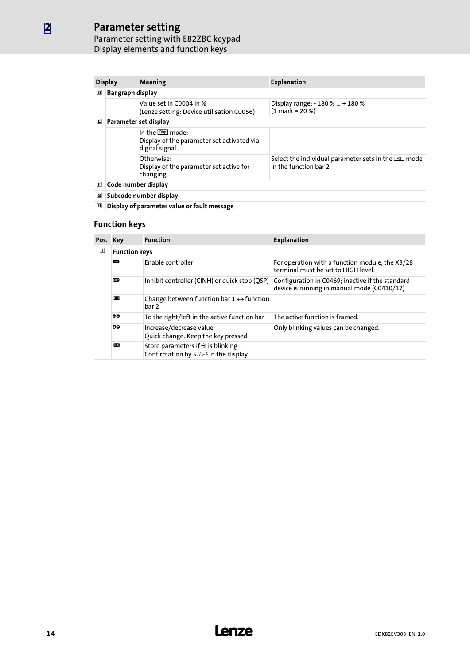### Parameter setting

[2](#page-11-0)

#### Parameter setting with E82ZBC keypad Display elements and function keys

|   | <b>Display</b>                                                                    | Meaning                                                              | <b>Explanation</b>                                                                    |  |  |  |
|---|-----------------------------------------------------------------------------------|----------------------------------------------------------------------|---------------------------------------------------------------------------------------|--|--|--|
| D | Bar graph display                                                                 |                                                                      |                                                                                       |  |  |  |
|   |                                                                                   | Value set in C0004 in %<br>(Lenze setting: Device utilisation C0056) | Display range: - 180 %  + 180 %<br>$(1 mark = 20 %$                                   |  |  |  |
| 旧 | Parameter set display                                                             |                                                                      |                                                                                       |  |  |  |
|   | In the Disp mode:<br>Display of the parameter set activated via<br>digital signal |                                                                      |                                                                                       |  |  |  |
|   |                                                                                   | Otherwise:<br>Display of the parameter set active for<br>changing    | Select the individual parameter sets in the $P\text{s}$ mode<br>in the function har 2 |  |  |  |
| E | Code number display                                                               |                                                                      |                                                                                       |  |  |  |
| G | Subcode number display                                                            |                                                                      |                                                                                       |  |  |  |
| 囸 | Display of parameter value or fault message                                       |                                                                      |                                                                                       |  |  |  |

#### Function keys

| Pos. Key |                      | <b>Function</b>                                                                            | <b>Explanation</b>                                                                              |  |  |
|----------|----------------------|--------------------------------------------------------------------------------------------|-------------------------------------------------------------------------------------------------|--|--|
| ◫        | <b>Function keys</b> |                                                                                            |                                                                                                 |  |  |
|          | <b>GUN</b>           | Enable controller                                                                          | For operation with a function module, the X3/28<br>terminal must be set to HIGH level.          |  |  |
|          | <b>STOP</b>          | Inhibit controller (CINH) or quick stop (QSP)                                              | Configuration in C0469; inactive if the standard<br>device is running in manual mode (C0410/17) |  |  |
|          | $0 - 2$              | Change between function bar $1 \leftrightarrow$ function<br>bar 2                          |                                                                                                 |  |  |
|          | 60                   | To the right/left in the active function bar                                               | The active function is framed.                                                                  |  |  |
|          | ٥Q                   | Increase/decrease value<br>Quick change: Keep the key pressed                              | Only blinking values can be changed.                                                            |  |  |
|          | <b>CATED</b>         | Store parameters if $\hat{\mathcal{F}}$ is blinking<br>Confirmation by 5TD-Ein the display |                                                                                                 |  |  |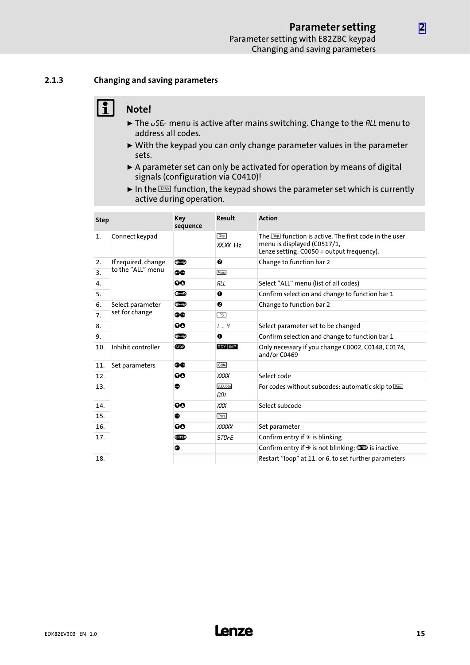#### <span id="page-14-0"></span>2.1.3 Changing and saving parameters

## $\begin{bmatrix} 1 \\ 1 \end{bmatrix}$  Note!

- $\blacktriangleright$  The  $\omega$ 5E<sub>c</sub> menu is active after mains switching. Change to the *RLL* menu to address all codes.
- $\triangleright$  With the keypad you can only change parameter values in the parameter sets.
- ► A parameter set can only be activated for operation by means of digital signals (configuration via C0410)!
- In the  $\overline{\text{Des}}$  function, the keypad shows the parameter set which is currently active during operation.

| <b>Step</b>    |                     | <b>Key</b><br>sequence | Result                  | <b>Action</b>                                                                                                                                |
|----------------|---------------------|------------------------|-------------------------|----------------------------------------------------------------------------------------------------------------------------------------------|
| $\mathbf{1}$ . | Connect keypad      |                        | <b>Disp</b><br>XX.XX Hz | The <b>Disp</b> function is active. The first code in the user<br>menu is displayed (C0517/1,<br>Lenze setting: $C0050 =$ output frequency). |
| 2.             | If required, change | $0 = 2$                | ❷                       | Change to function bar 2                                                                                                                     |
| 3.             | to the "ALL" menu   | ٥O                     | Menu                    |                                                                                                                                              |
| 4.             |                     | 90                     | RLL                     | Select "ALL" menu (list of all codes)                                                                                                        |
| 5.             |                     | $0 = 2$                | $\mathbf 0$             | Confirm selection and change to function bar 1                                                                                               |
| 6.             | Select parameter    | $0 = 2$                | ❷                       | Change to function bar 2                                                                                                                     |
| 7.             | set for change      | ٥O                     | PS                      |                                                                                                                                              |
| 8.             |                     | QΟ                     | 19                      | Select parameter set to be changed                                                                                                           |
| 9.             |                     | $0 = 0$                | $\mathbf 0$             | Confirm selection and change to function bar 1                                                                                               |
| 10.            | Inhibit controller  | <b>STOP</b>            | RDY MP                  | Only necessary if you change C0002, C0148, C0174,<br>and/or C0469                                                                            |
| 11.            | Set parameters      | 60                     | Code                    |                                                                                                                                              |
| 12.            |                     | QΟ                     | <b>XXXX</b>             | Select code                                                                                                                                  |
| 13.            |                     | ●                      | SubCode<br>OOI          | For codes without subcodes: automatic skip to Paral                                                                                          |
| 14.            |                     | QΟ                     | XXX                     | Select subcode                                                                                                                               |
| 15.            |                     | ◓                      | Para                    |                                                                                                                                              |
| 16.            |                     | 90                     | <b>XXXXX</b>            | Set parameter                                                                                                                                |
| 17.            |                     | enie)                  | <i><b>STOrE</b></i>     | Confirm entry if $\hat{\mathcal{F}}$ is blinking                                                                                             |
|                |                     | $\bullet$              |                         | Confirm entry if $\hat{\mathcal{F}}$ is not blinking; $\overline{\mathbf{w}}$ is inactive                                                    |
| 18.            |                     |                        |                         | Restart "loop" at 11. or 6. to set further parameters                                                                                        |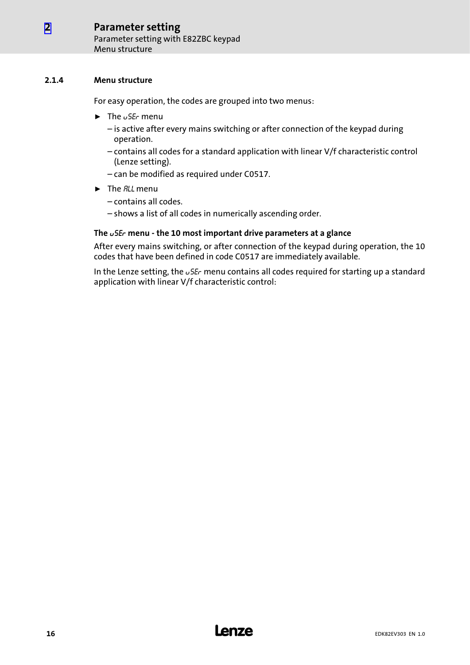#### <span id="page-15-0"></span>2.1.4 Menu structure

For easy operation, the codes are grouped into two menus:

- $\blacktriangleright$  The  $\upsilon$  SE<sub>c</sub> menu
	- is active after every mains switching or after connection of the keypad during operation.
	- contains all codes for a standard application with linear V/f characteristic control (Lenze setting).
	- can be modified as required under C0517.
- $\blacktriangleright$  The *RLL* menu
	- contains all codes.
	- shows a list of all codes in numerically ascending order.

#### The uSEr menu − the 10 most important drive parameters at a glance

After every mains switching, or after connection of the keypad during operation, the 10 codes that have been defined in code C0517 are immediately available.

In the Lenze setting, the  $\sqrt{5}E_r$  menu contains all codes required for starting up a standard application with linear V/f characteristic control: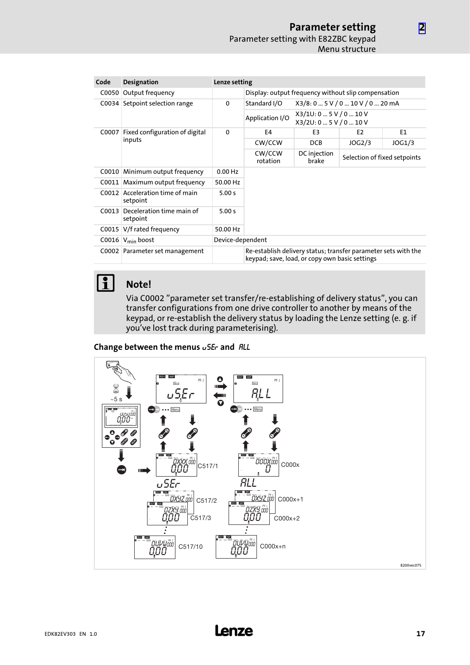| Code  | <b>Designation</b>                    | Lenze setting    |                                                                                                                  |                                           |                              |        |  |
|-------|---------------------------------------|------------------|------------------------------------------------------------------------------------------------------------------|-------------------------------------------|------------------------------|--------|--|
| C0050 | Output frequency                      |                  | Display: output frequency without slip compensation                                                              |                                           |                              |        |  |
| COO34 | Setpoint selection range              | $\mathbf 0$      | X3/8: 0  5 V / 0  10 V / 0  20 mA<br>Standard I/O                                                                |                                           |                              |        |  |
|       |                                       |                  | Application I/O                                                                                                  | X3/10:05V/010V<br>X3/2U: 0  5 V / 0  10 V |                              |        |  |
| C0007 | Fixed configuration of digital        | $\mathbf 0$      | F4                                                                                                               | E3                                        | E <sub>2</sub>               | E1     |  |
|       | inputs                                |                  | CW/CCW                                                                                                           | <b>DCB</b>                                | JOG2/3                       | JOG1/3 |  |
|       |                                       |                  | CW/CCW<br>rotation                                                                                               | DC injection<br>brake                     | Selection of fixed setpoints |        |  |
| C0010 | Minimum output frequency              | $0.00$ Hz        |                                                                                                                  |                                           |                              |        |  |
|       | C0011 Maximum output frequency        | 50.00 Hz         |                                                                                                                  |                                           |                              |        |  |
| C0012 | Acceleration time of main<br>setpoint | 5.00 s           |                                                                                                                  |                                           |                              |        |  |
| COO13 | Deceleration time main of<br>setpoint | 5.00 s           |                                                                                                                  |                                           |                              |        |  |
| COO15 | V/f rated frequency                   | 50.00 Hz         |                                                                                                                  |                                           |                              |        |  |
|       | C0016 $V_{min}$ boost                 | Device-dependent |                                                                                                                  |                                           |                              |        |  |
|       | C0002 Parameter set management        |                  | Re-establish delivery status; transfer parameter sets with the<br>keypad; save, load, or copy own basic settings |                                           |                              |        |  |

**1** Note!

#### Via C0002 "parameter set transfer/re−establishing of delivery status", you can transfer configurations from one drive controller to another by means of the keypad, or re−establish the delivery status by loading the Lenze setting (e. g. if you've lost track during parameterising).

Change between the menus  $\sigma$ SEr and ALL

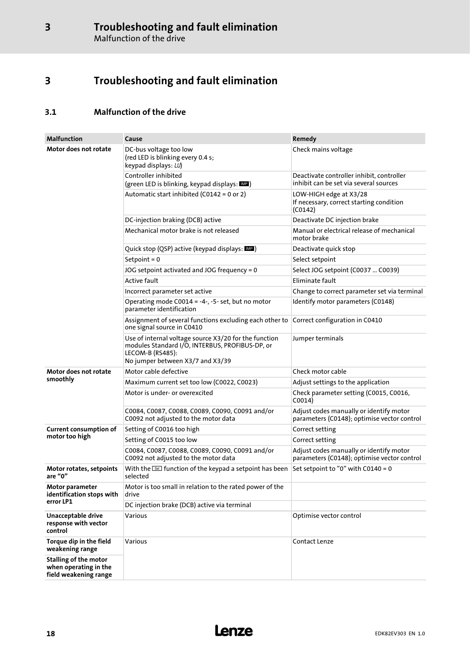### <span id="page-17-0"></span>3 Troubleshooting and fault elimination

### 3.1 Malfunction of the drive

| <b>Malfunction</b>                                                             | Cause                                                                                                                                                            | Remedy                                                                                 |
|--------------------------------------------------------------------------------|------------------------------------------------------------------------------------------------------------------------------------------------------------------|----------------------------------------------------------------------------------------|
| Motor does not rotate                                                          | DC-bus voltage too low<br>(red LED is blinking every 0.4 s;<br>keypad displays: LU)                                                                              | Check mains voltage                                                                    |
|                                                                                | Controller inhibited<br>(green LED is blinking, keypad displays: MD)                                                                                             | Deactivate controller inhibit, controller<br>inhibit can be set via several sources    |
|                                                                                | Automatic start inhibited (C0142 = 0 or 2)                                                                                                                       | LOW-HIGH edge at X3/28<br>If necessary, correct starting condition<br>(C0142)          |
|                                                                                | DC-injection braking (DCB) active                                                                                                                                | Deactivate DC injection brake                                                          |
|                                                                                | Mechanical motor brake is not released                                                                                                                           | Manual or electrical release of mechanical<br>motor brake                              |
|                                                                                | Quick stop (QSP) active (keypad displays: MP)                                                                                                                    | Deactivate quick stop                                                                  |
|                                                                                | Setpoint = $0$                                                                                                                                                   | Select setpoint                                                                        |
|                                                                                | JOG setpoint activated and JOG frequency = 0                                                                                                                     | Select JOG setpoint (C0037  C0039)                                                     |
|                                                                                | Active fault                                                                                                                                                     | Eliminate fault                                                                        |
|                                                                                | Incorrect parameter set active                                                                                                                                   | Change to correct parameter set via terminal                                           |
|                                                                                | Operating mode C0014 = -4-, -5- set, but no motor<br>parameter identification                                                                                    | Identify motor parameters (C0148)                                                      |
|                                                                                | Assignment of several functions excluding each other to<br>one signal source in C0410                                                                            | Correct configuration in C0410                                                         |
|                                                                                | Use of internal voltage source X3/20 for the function<br>modules Standard I/O, INTERBUS, PROFIBUS-DP, or<br>LECOM-B (RS485):<br>No jumper between X3/7 and X3/39 | Jumper terminals                                                                       |
| Motor does not rotate                                                          | Motor cable defective                                                                                                                                            | Check motor cable                                                                      |
| smoothly                                                                       | Maximum current set too low (C0022, C0023)                                                                                                                       | Adjust settings to the application                                                     |
|                                                                                | Motor is under- or overexcited                                                                                                                                   | Check parameter setting (C0015, C0016,<br>COO14)                                       |
|                                                                                | C0084, C0087, C0088, C0089, C0090, C0091 and/or<br>C0092 not adjusted to the motor data                                                                          | Adjust codes manually or identify motor<br>parameters (C0148); optimise vector control |
| Current consumption of                                                         | Setting of C0016 too high                                                                                                                                        | Correct setting                                                                        |
| motor too high                                                                 | Setting of C0015 too low                                                                                                                                         | Correct setting                                                                        |
|                                                                                | C0084, C0087, C0088, C0089, C0090, C0091 and/or<br>C0092 not adjusted to the motor data                                                                          | Adjust codes manually or identify motor<br>parameters (C0148); optimise vector control |
| Motor rotates, setpoints<br>are "0"                                            | With the <b>Set</b> function of the keypad a setpoint has been<br>selected                                                                                       | Set setpoint to "0" with C0140 = 0                                                     |
| Motor parameter<br>identification stops with                                   | Motor is too small in relation to the rated power of the<br>drive                                                                                                |                                                                                        |
| error LP1                                                                      | DC injection brake (DCB) active via terminal                                                                                                                     |                                                                                        |
| Unacceptable drive<br>response with vector<br>control                          | Various                                                                                                                                                          | Optimise vector control                                                                |
| Torque dip in the field<br>weakening range                                     | Various                                                                                                                                                          | Contact Lenze                                                                          |
| <b>Stalling of the motor</b><br>when operating in the<br>field weakening range |                                                                                                                                                                  |                                                                                        |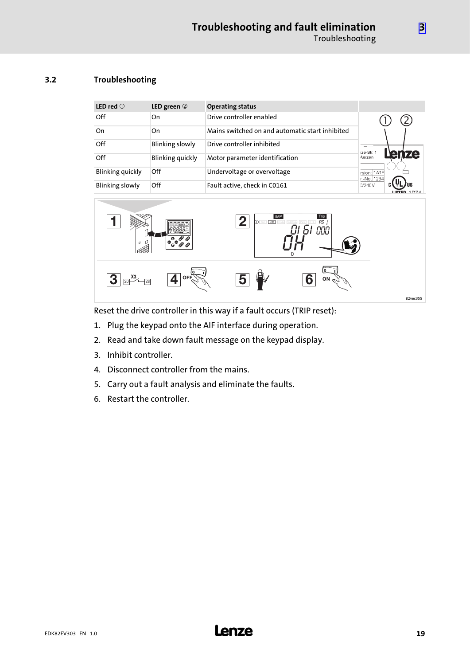#### <span id="page-18-0"></span>3.2 Troubleshooting

| LED red $\circledcirc$  | LED green 2             | <b>Operating status</b>                         |                                           |
|-------------------------|-------------------------|-------------------------------------------------|-------------------------------------------|
| Off                     | On                      | Drive controller enabled                        |                                           |
| On                      | On                      | Mains switched on and automatic start inhibited |                                           |
| Off                     | <b>Blinking slowly</b>  | Drive controller inhibited                      | 1ze-Str. 1                                |
| Off                     | <b>Blinking quickly</b> | Motor parameter identification                  | <b>ize</b><br>en<br>Aerzen                |
| <b>Blinking quickly</b> | Off                     | Undervoltage or overvoltage                     | rsion: 1A1F<br>r.-No: 1234                |
| <b>Blinking slowly</b>  | Off                     | Fault active, check in C0161                    | D/240V<br><b>LICTED <math>4D74</math></b> |



Reset the drive controller in this way if a fault occurs (TRIP reset):

- 1. Plug the keypad onto the AIF interface during operation.
- 2. Read and take down fault message on the keypad display.
- 3. Inhibit controller.
- 4. Disconnect controller from the mains.
- 5. Carry out a fault analysis and eliminate the faults.
- 6. Restart the controller.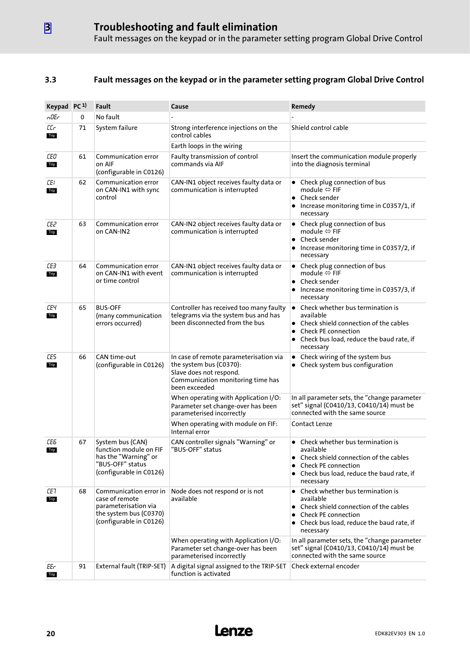#### <span id="page-19-0"></span>3.3 Fault messages on the keypad or in the parameter setting program Global Drive Control

| Keypad PC <sup>1)</sup> |    | Fault                                                                                                                 | Cause                                                                                                                                              | Remedy                                                                                                                                                                                       |
|-------------------------|----|-----------------------------------------------------------------------------------------------------------------------|----------------------------------------------------------------------------------------------------------------------------------------------------|----------------------------------------------------------------------------------------------------------------------------------------------------------------------------------------------|
| nOEr                    | 0  | No fault                                                                                                              |                                                                                                                                                    |                                                                                                                                                                                              |
| СG<br>Trip              | 71 | System failure                                                                                                        | Strong interference injections on the<br>control cables                                                                                            | Shield control cable                                                                                                                                                                         |
|                         |    |                                                                                                                       | Earth loops in the wiring                                                                                                                          |                                                                                                                                                                                              |
| СEО<br>Trip             | 61 | Communication error<br>on AIF<br>(configurable in C0126)                                                              | Faulty transmission of control<br>commands via AIF                                                                                                 | Insert the communication module properly<br>into the diagnosis terminal                                                                                                                      |
| ЕEI.<br>Trip            | 62 | Communication error<br>on CAN-IN1 with sync<br>control                                                                | CAN-IN1 object receives faulty data or<br>communication is interrupted                                                                             | • Check plug connection of bus<br>module $\Leftrightarrow$ FIF<br>Check sender<br>$\bullet$<br>Increase monitoring time in C0357/1, if<br>necessary                                          |
| CE2<br>Trip             | 63 | Communication error<br>on CAN-IN2                                                                                     | CAN-IN2 object receives faulty data or<br>communication is interrupted                                                                             | • Check plug connection of bus<br>module $\Leftrightarrow$ FIF<br>• Check sender<br>Increase monitoring time in C0357/2, if<br>$\bullet$<br>necessary                                        |
| ŒЗ<br>Trip              | 64 | Communication error<br>on CAN-IN1 with event<br>or time control                                                       | CAN-IN1 object receives faulty data or<br>communication is interrupted                                                                             | • Check plug connection of bus<br>module $\Leftrightarrow$ FIF<br>Check sender<br>• Increase monitoring time in C0357/3, if<br>necessary                                                     |
| ΕЕЧ<br>Trip             | 65 | <b>BUS-OFF</b><br>(many communication<br>errors occurred)                                                             | Controller has received too many faulty<br>telegrams via the system bus and has<br>been disconnected from the bus                                  | Check whether bus termination is<br>$\bullet$<br>available<br>• Check shield connection of the cables<br><b>Check PE connection</b><br>Check bus load, reduce the baud rate, if<br>necessary |
| CE5<br>Trip             | 66 | CAN time-out<br>(configurable in C0126)                                                                               | In case of remote parameterisation via<br>the system bus (C0370):<br>Slave does not respond.<br>Communication monitoring time has<br>been exceeded | Check wiring of the system bus<br>$\bullet$<br>• Check system bus configuration                                                                                                              |
|                         |    |                                                                                                                       | When operating with Application I/O:<br>Parameter set change-over has been<br>parameterised incorrectly                                            | In all parameter sets, the "change parameter<br>set" signal (C0410/13, C0410/14) must be<br>connected with the same source                                                                   |
|                         |    |                                                                                                                       | When operating with module on FIF:<br>Internal error                                                                                               | Contact Lenze                                                                                                                                                                                |
| CE6<br>Trip             | 67 | System bus (CAN)<br>function module on FIF<br>has the "Warning" or<br>"BUS-OFF" status<br>(configurable in C0126)     | CAN controller signals "Warning" or<br>"BUS-OFF" status                                                                                            | Check whether bus termination is<br>available<br>Check shield connection of the cables<br><b>Check PE connection</b><br>• Check bus load, reduce the baud rate, if<br>necessary              |
| CE7<br>Trip             | 68 | Communication error in<br>case of remote<br>parameterisation via<br>the system bus (C0370)<br>(configurable in C0126) | Node does not respond or is not<br>available                                                                                                       | Check whether bus termination is<br>$\bullet$<br>available<br>Check shield connection of the cables<br><b>Check PE connection</b><br>Check bus load, reduce the baud rate, if<br>necessary   |
|                         |    |                                                                                                                       | When operating with Application I/O:<br>Parameter set change-over has been<br>parameterised incorrectly                                            | In all parameter sets, the "change parameter<br>set" signal (C0410/13, C0410/14) must be<br>connected with the same source                                                                   |
| EEr<br>Trip             | 91 | External fault (TRIP-SET)                                                                                             | A digital signal assigned to the TRIP-SET<br>function is activated                                                                                 | Check external encoder                                                                                                                                                                       |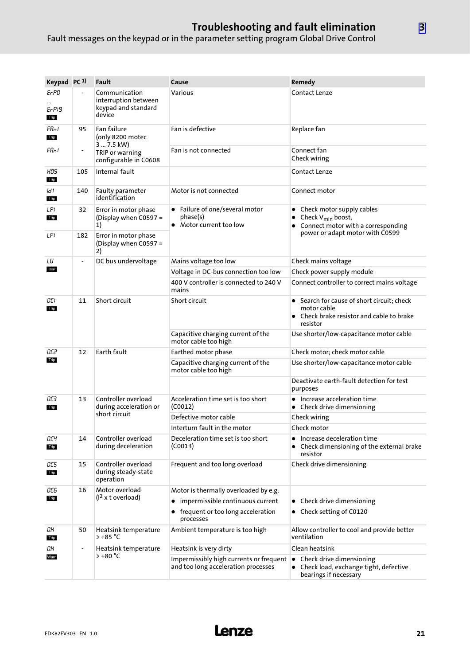### Troubleshooting and fault elimination

Fault messages on the keypad or in the parameter setting program Global Drive Control

| Keypad PC <sup>1)</sup> |                              | <b>Fault</b>                                                           | Cause                                                                          | Remedy                                                                                                                                           |
|-------------------------|------------------------------|------------------------------------------------------------------------|--------------------------------------------------------------------------------|--------------------------------------------------------------------------------------------------------------------------------------------------|
| Er PO<br>Er PI9<br>Trip |                              | Communication<br>interruption between<br>keypad and standard<br>device | Various                                                                        | <b>Contact Lenze</b>                                                                                                                             |
| Fflot<br>Trip           | 95                           | Fan failure<br>(only 8200 motec<br>3  7.5 kW)                          | Fan is defective                                                               | Replace fan                                                                                                                                      |
| Fflot                   | $\overline{\phantom{a}}$     | TRIP or warning<br>configurable in C0608                               | Fan is not connected                                                           | Connect fan<br>Check wiring                                                                                                                      |
| HOS<br>Trip             | 105                          | Internal fault                                                         |                                                                                | Contact Lenze                                                                                                                                    |
| ld I<br>Trip            | 140                          | Faulty parameter<br>identification                                     | Motor is not connected                                                         | Connect motor                                                                                                                                    |
| LPI<br>Trip             | 32                           | Error in motor phase<br>(Display when C0597 =<br>1)                    | • Failure of one/several motor<br>phase(s)<br>• Motor current too low          | Check motor supply cables<br>Check V <sub>min</sub> boost,<br>$\bullet$<br>Connect motor with a corresponding<br>power or adapt motor with C0599 |
| LPI                     | 182                          | Error in motor phase<br>(Display when C0597 =<br>2)                    |                                                                                |                                                                                                                                                  |
| LU                      | $\qquad \qquad \blacksquare$ | DC bus undervoltage                                                    | Mains voltage too low                                                          | Check mains voltage                                                                                                                              |
| IMP                     |                              |                                                                        | Voltage in DC-bus connection too low                                           | Check power supply module                                                                                                                        |
|                         |                              |                                                                        | 400 V controller is connected to 240 V<br>mains                                | Connect controller to correct mains voltage                                                                                                      |
| OCI<br>Trip             | 11                           | Short circuit                                                          | Short circuit                                                                  | • Search for cause of short circuit; check<br>motor cable<br>• Check brake resistor and cable to brake<br>resistor                               |
|                         |                              |                                                                        | Capacitive charging current of the<br>motor cable too high                     | Use shorter/low-capacitance motor cable                                                                                                          |
| OC2                     | 12                           | Earth fault                                                            | Earthed motor phase                                                            | Check motor; check motor cable                                                                                                                   |
| Trip                    |                              |                                                                        | Capacitive charging current of the<br>motor cable too high                     | Use shorter/low-capacitance motor cable                                                                                                          |
|                         |                              |                                                                        |                                                                                | Deactivate earth-fault detection for test<br>purposes                                                                                            |
| OСЗ<br>Trip             | 13                           | Controller overload<br>during acceleration or<br>short circuit         | Acceleration time set is too short<br>(C0012)                                  | • Increase acceleration time<br>• Check drive dimensioning                                                                                       |
|                         |                              |                                                                        | Defective motor cable                                                          | Check wiring                                                                                                                                     |
|                         |                              |                                                                        | Interturn fault in the motor                                                   | Check motor                                                                                                                                      |
| ОСЧ<br>Trip             | 14                           | Controller overload<br>during deceleration                             | Deceleration time set is too short<br>(C0013)                                  | Increase deceleration time<br>٠<br>Check dimensioning of the external brake<br>resistor                                                          |
| OC5<br>Trip             | 15                           | Controller overload<br>during steady-state<br>operation                | Frequent and too long overload                                                 | Check drive dimensioning                                                                                                                         |
| ОΕБ<br>Trip             | 16                           | Motor overload<br>(1 <sup>2</sup> x t overload)                        | Motor is thermally overloaded by e.g.                                          |                                                                                                                                                  |
|                         |                              |                                                                        | • impermissible continuous current                                             | • Check drive dimensioning                                                                                                                       |
|                         |                              |                                                                        | • frequent or too long acceleration<br>processes                               | • Check setting of C0120                                                                                                                         |
| OН<br>Trip              | 50                           | Heatsink temperature<br>$>+85 °C$                                      | Ambient temperature is too high                                                | Allow controller to cool and provide better<br>ventilation                                                                                       |
| OН                      | $\overline{a}$               | Heatsink temperature<br>> +80 °C                                       | Heatsink is very dirty                                                         | Clean heatsink                                                                                                                                   |
| Warn                    |                              |                                                                        | Impermissibly high currents or frequent<br>and too long acceleration processes | Check drive dimensioning<br>$\bullet$<br>• Check load, exchange tight, defective<br>bearings if necessary                                        |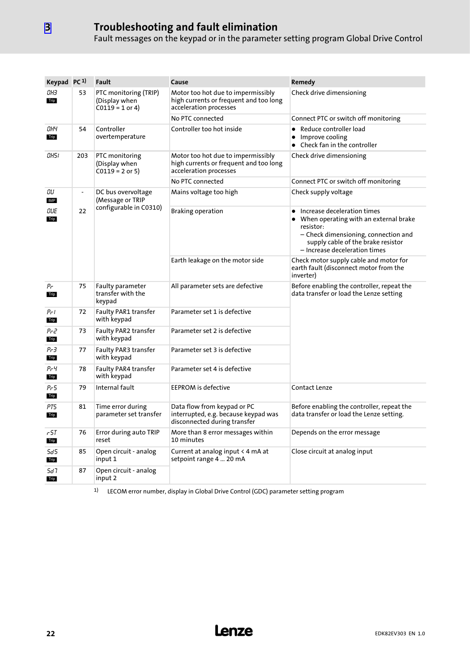### Troubleshooting and fault elimination

Fault messages on the keypad or in the parameter setting program Global Drive Control

| Keypad PC <sup>1)</sup> |               | Fault                                                       | Cause                                                                                                  | Remedy                                                                                                                                                                                           |  |
|-------------------------|---------------|-------------------------------------------------------------|--------------------------------------------------------------------------------------------------------|--------------------------------------------------------------------------------------------------------------------------------------------------------------------------------------------------|--|
| ОНЗ<br>Trip             | 53            | PTC monitoring (TRIP)<br>(Display when<br>$C0119 = 1$ or 4) | Motor too hot due to impermissibly<br>high currents or frequent and too long<br>acceleration processes | Check drive dimensioning                                                                                                                                                                         |  |
|                         |               |                                                             | No PTC connected                                                                                       | Connect PTC or switch off monitoring                                                                                                                                                             |  |
| ОНЧ<br>Trip             | 54            | Controller<br>overtemperature                               | Controller too hot inside                                                                              | • Reduce controller load<br>Improve cooling<br>$\bullet$<br>• Check fan in the controller                                                                                                        |  |
| OH51                    | 203           | PTC monitoring<br>(Display when<br>$C0119 = 2$ or 5)        | Motor too hot due to impermissibly<br>high currents or frequent and too long<br>acceleration processes | Check drive dimensioning                                                                                                                                                                         |  |
|                         |               |                                                             | No PTC connected                                                                                       | Connect PTC or switch off monitoring                                                                                                                                                             |  |
| OU<br>IMP               | $\frac{1}{2}$ | DC bus overvoltage<br>(Message or TRIP                      | Mains voltage too high                                                                                 | Check supply voltage                                                                                                                                                                             |  |
| OUL<br>Trip             | 22            | configurable in C0310)                                      | <b>Braking operation</b>                                                                               | Increase deceleration times<br>When operating with an external brake<br>resistor:<br>– Check dimensioning, connection and<br>supply cable of the brake resistor<br>- Increase deceleration times |  |
|                         |               |                                                             | Earth leakage on the motor side                                                                        | Check motor supply cable and motor for<br>earth fault (disconnect motor from the<br>inverter)                                                                                                    |  |
| Pr<br>Trip              | 75            | Faulty parameter<br>transfer with the<br>keypad             | All parameter sets are defective                                                                       | Before enabling the controller, repeat the<br>data transfer or load the Lenze setting                                                                                                            |  |
| Pri<br>Trip             | 72            | <b>Faulty PAR1 transfer</b><br>with keypad                  | Parameter set 1 is defective                                                                           |                                                                                                                                                                                                  |  |
| ሥ2<br>Trip              | 73            | <b>Faulty PAR2 transfer</b><br>with keypad                  | Parameter set 2 is defective                                                                           |                                                                                                                                                                                                  |  |
| Pr∃<br>Trip             | 77            | Faulty PAR3 transfer<br>with keypad                         | Parameter set 3 is defective                                                                           |                                                                                                                                                                                                  |  |
| РгЧ<br>Trip             | 78            | Faulty PAR4 transfer<br>with keypad                         | Parameter set 4 is defective                                                                           |                                                                                                                                                                                                  |  |
| Pr 5<br>Trip            | 79            | Internal fault                                              | <b>EEPROM</b> is defective                                                                             | <b>Contact Lenze</b>                                                                                                                                                                             |  |
| PT5<br>Trip             | 81            | Time error during<br>parameter set transfer                 | Data flow from keypad or PC<br>interrupted, e.g. because keypad was<br>disconnected during transfer    | Before enabling the controller, repeat the<br>data transfer or load the Lenze setting.                                                                                                           |  |
| r 5T<br>Trip            | 76            | Error during auto TRIP<br>reset                             | More than 8 error messages within<br>10 minutes                                                        | Depends on the error message                                                                                                                                                                     |  |
| 5d5<br>Trip             | 85            | Open circuit - analog<br>input 1                            | Current at analog input $\leq 4$ mA at<br>setpoint range 4  20 mA                                      | Close circuit at analog input                                                                                                                                                                    |  |
| 5d 1<br>Trip            | 87            | Open circuit - analog<br>input 2                            |                                                                                                        |                                                                                                                                                                                                  |  |

1) LECOM error number, display in Global Drive Control (GDC) parameter setting program

[3](#page-17-0)